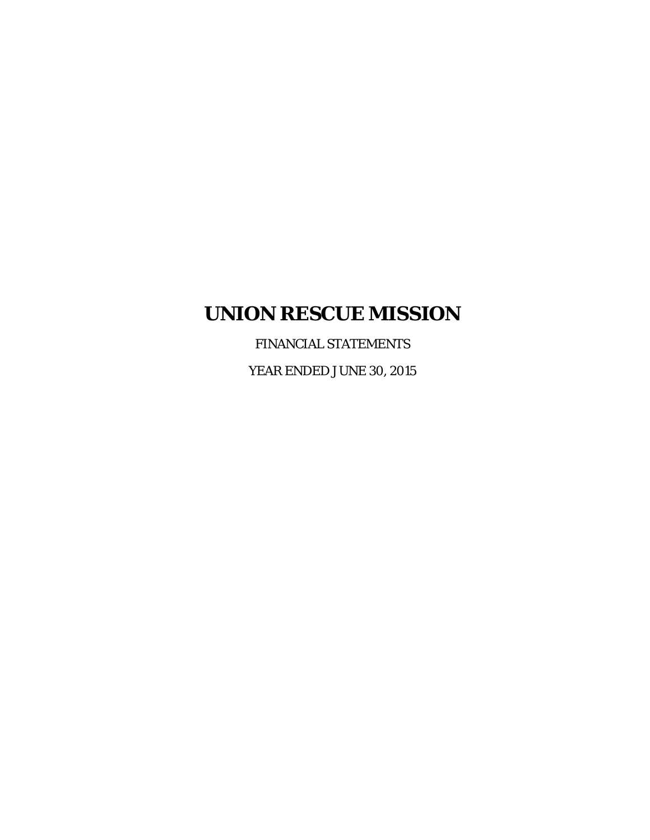FINANCIAL STATEMENTS

YEAR ENDED JUNE 30, 2015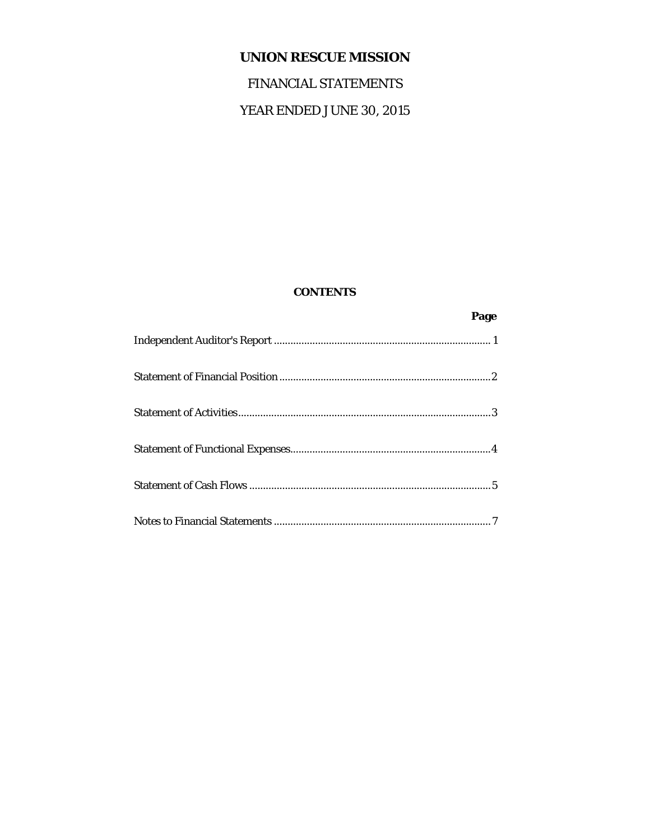## FINANCIAL STATEMENTS

## YEAR ENDED JUNE 30, 2015

## **CONTENTS**

| Page |
|------|
|      |
|      |
|      |
|      |
|      |
|      |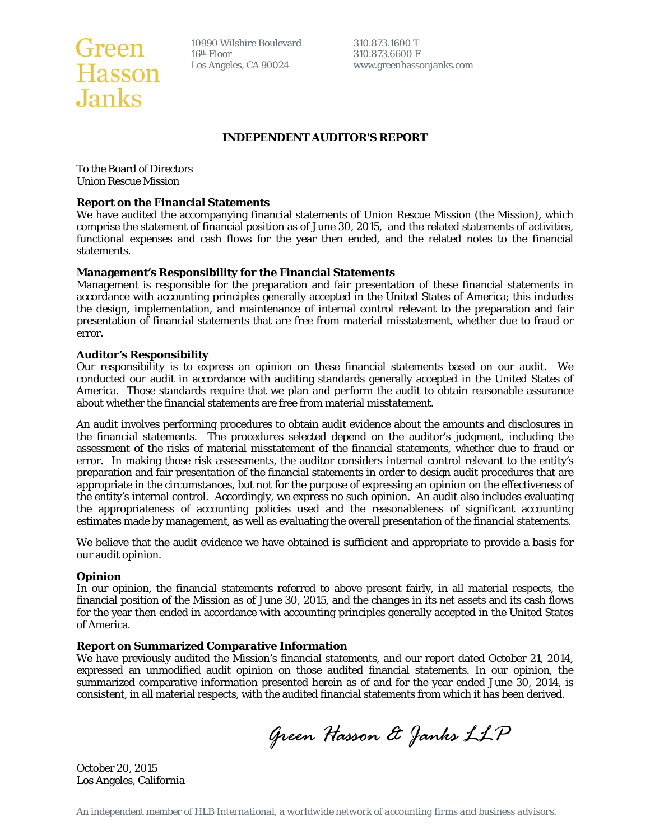

10990 Wilshire Boulevard 310.873.1600 T<br>16<sup>th</sup> Floor 310.873.6600 F **16th Floor** 310.873.6600 F

Los Angeles, CA 90024 www.greenhassonjanks.com

#### **INDEPENDENT AUDITOR'S REPORT**

To the Board of Directors Union Rescue Mission

#### **Report on the Financial Statements**

We have audited the accompanying financial statements of Union Rescue Mission (the Mission), which comprise the statement of financial position as of June 30, 2015, and the related statements of activities, functional expenses and cash flows for the year then ended, and the related notes to the financial statements.

#### **Management's Responsibility for the Financial Statements**

Management is responsible for the preparation and fair presentation of these financial statements in accordance with accounting principles generally accepted in the United States of America; this includes the design, implementation, and maintenance of internal control relevant to the preparation and fair presentation of financial statements that are free from material misstatement, whether due to fraud or error.

#### **Auditor's Responsibility**

Our responsibility is to express an opinion on these financial statements based on our audit. We conducted our audit in accordance with auditing standards generally accepted in the United States of America. Those standards require that we plan and perform the audit to obtain reasonable assurance about whether the financial statements are free from material misstatement.

An audit involves performing procedures to obtain audit evidence about the amounts and disclosures in the financial statements. The procedures selected depend on the auditor's judgment, including the assessment of the risks of material misstatement of the financial statements, whether due to fraud or error. In making those risk assessments, the auditor considers internal control relevant to the entity's preparation and fair presentation of the financial statements in order to design audit procedures that are appropriate in the circumstances, but not for the purpose of expressing an opinion on the effectiveness of the entity's internal control. Accordingly, we express no such opinion. An audit also includes evaluating the appropriateness of accounting policies used and the reasonableness of significant accounting estimates made by management, as well as evaluating the overall presentation of the financial statements.

We believe that the audit evidence we have obtained is sufficient and appropriate to provide a basis for our audit opinion.

#### **Opinion**

In our opinion, the financial statements referred to above present fairly, in all material respects, the financial position of the Mission as of June 30, 2015, and the changes in its net assets and its cash flows for the year then ended in accordance with accounting principles generally accepted in the United States of America.

#### **Report on Summarized Comparative Information**

We have previously audited the Mission's financial statements, and our report dated October 21, 2014, expressed an unmodified audit opinion on those audited financial statements. In our opinion, the summarized comparative information presented herein as of and for the year ended June 30, 2014, is consistent, in all material respects, with the audited financial statements from which it has been derived.

*Green Hasson & Janks LLP* 

October 20, 2015 Los Angeles, California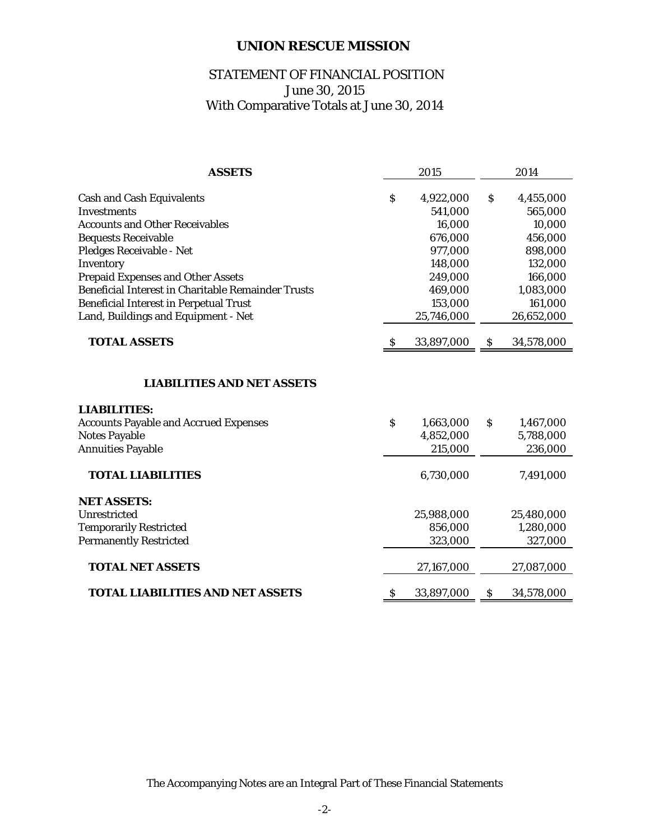## STATEMENT OF FINANCIAL POSITION June 30, 2015 With Comparative Totals at June 30, 2014

| <b>ASSETS</b>                                                        |    | 2015       |              | 2014                   |
|----------------------------------------------------------------------|----|------------|--------------|------------------------|
|                                                                      |    |            |              |                        |
| <b>Cash and Cash Equivalents</b>                                     | \$ | 4,922,000  | \$           | 4,455,000              |
| <b>Investments</b>                                                   |    | 541,000    |              | 565,000                |
| <b>Accounts and Other Receivables</b>                                |    | 16,000     |              | 10,000                 |
| <b>Bequests Receivable</b>                                           |    | 676,000    |              | 456,000                |
| Pledges Receivable - Net                                             |    | 977,000    |              | 898,000                |
| Inventory                                                            |    | 148,000    |              | 132,000                |
| <b>Prepaid Expenses and Other Assets</b>                             |    | 249,000    |              | 166,000                |
| Beneficial Interest in Charitable Remainder Trusts                   |    | 469,000    |              | 1,083,000              |
| <b>Beneficial Interest in Perpetual Trust</b>                        |    | 153,000    |              | 161,000                |
| Land, Buildings and Equipment - Net                                  |    | 25,746,000 |              | 26,652,000             |
| <b>TOTAL ASSETS</b>                                                  | S  | 33,897,000 | <sub>S</sub> | 34,578,000             |
|                                                                      |    |            |              |                        |
| <b>LIABILITIES AND NET ASSETS</b>                                    |    |            |              |                        |
|                                                                      |    |            |              |                        |
| <b>LIABILITIES:</b>                                                  | \$ | 1,663,000  | \$           |                        |
| <b>Accounts Payable and Accrued Expenses</b><br><b>Notes Payable</b> |    | 4,852,000  |              | 1,467,000<br>5,788,000 |
| <b>Annuities Payable</b>                                             |    | 215,000    |              | 236,000                |
|                                                                      |    |            |              |                        |
| <b>TOTAL LIABILITIES</b>                                             |    | 6,730,000  |              | 7,491,000              |
| <b>NET ASSETS:</b>                                                   |    |            |              |                        |
| Unrestricted                                                         |    | 25,988,000 |              | 25,480,000             |
| <b>Temporarily Restricted</b>                                        |    | 856,000    |              | 1,280,000              |
| <b>Permanently Restricted</b>                                        |    | 323,000    |              | 327,000                |
| <b>TOTAL NET ASSETS</b>                                              |    | 27,167,000 |              | 27,087,000             |
| <b>TOTAL LIABILITIES AND NET ASSETS</b>                              | Ş  | 33,897,000 | \$           | 34,578,000             |

The Accompanying Notes are an Integral Part of These Financial Statements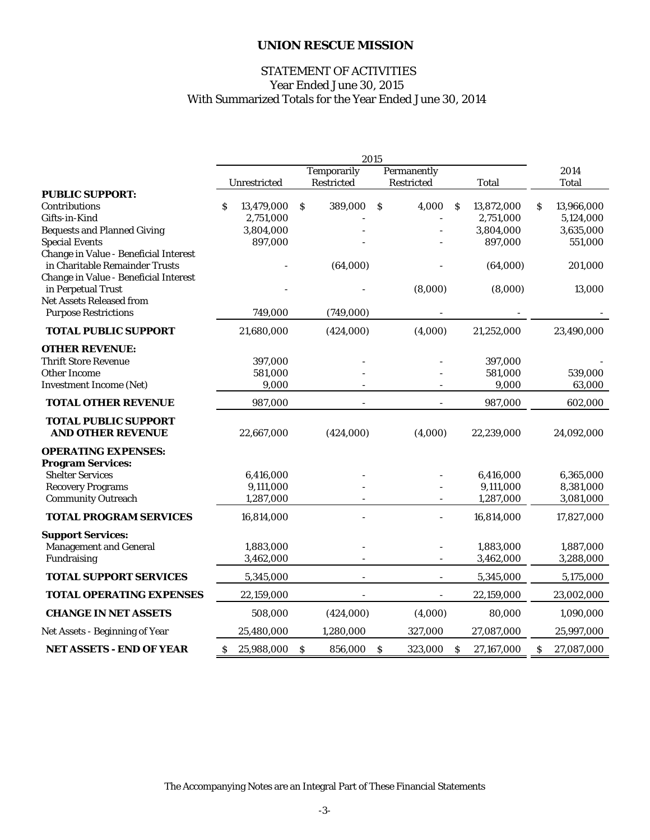## STATEMENT OF ACTIVITIES Year Ended June 30, 2015 With Summarized Totals for the Year Ended June 30, 2014

|                                                       |                 |       | 2015        |              |                 |                 |  |  |  |  |  |
|-------------------------------------------------------|-----------------|-------|-------------|--------------|-----------------|-----------------|--|--|--|--|--|
|                                                       |                 |       | Temporarily | Permanently  |                 | 2014            |  |  |  |  |  |
|                                                       | Unrestricted    |       | Restricted  | Restricted   | <b>Total</b>    | <b>Total</b>    |  |  |  |  |  |
| <b>PUBLIC SUPPORT:</b>                                |                 |       |             |              |                 |                 |  |  |  |  |  |
| Contributions                                         | Ś<br>13,479,000 | S     | 389,000     | 4,000<br>S   | S<br>13,872,000 | 13,966,000<br>S |  |  |  |  |  |
| Gifts-in-Kind                                         | 2,751,000       |       |             |              | 2,751,000       | 5,124,000       |  |  |  |  |  |
| <b>Bequests and Planned Giving</b>                    | 3,804,000       |       |             |              | 3,804,000       | 3,635,000       |  |  |  |  |  |
| <b>Special Events</b>                                 | 897,000         |       |             |              | 897,000         | 551,000         |  |  |  |  |  |
| Change in Value - Beneficial Interest                 |                 |       |             |              |                 |                 |  |  |  |  |  |
| in Charitable Remainder Trusts                        |                 |       | (64,000)    |              | (64,000)        | 201,000         |  |  |  |  |  |
| Change in Value - Beneficial Interest                 |                 |       |             |              |                 |                 |  |  |  |  |  |
| in Perpetual Trust<br><b>Net Assets Released from</b> |                 |       |             | (8,000)      | (8,000)         | 13,000          |  |  |  |  |  |
| <b>Purpose Restrictions</b>                           | 749,000         |       | (749,000)   |              |                 |                 |  |  |  |  |  |
|                                                       |                 |       |             |              |                 |                 |  |  |  |  |  |
| <b>TOTAL PUBLIC SUPPORT</b>                           | 21,680,000      |       | (424,000)   | (4,000)      | 21,252,000      | 23,490,000      |  |  |  |  |  |
| <b>OTHER REVENUE:</b>                                 |                 |       |             |              |                 |                 |  |  |  |  |  |
| <b>Thrift Store Revenue</b>                           | 397,000         |       |             |              | 397,000         |                 |  |  |  |  |  |
| Other Income                                          | 581,000         |       |             |              | 581,000         | 539,000         |  |  |  |  |  |
| <b>Investment Income (Net)</b>                        |                 | 9,000 |             |              | 9,000           | 63,000          |  |  |  |  |  |
| <b>TOTAL OTHER REVENUE</b>                            | 987,000         |       |             |              | 987,000         | 602,000         |  |  |  |  |  |
| <b>TOTAL PUBLIC SUPPORT</b>                           |                 |       |             |              |                 |                 |  |  |  |  |  |
| <b>AND OTHER REVENUE</b>                              | 22,667,000      |       | (424,000)   | (4,000)      | 22,239,000      | 24,092,000      |  |  |  |  |  |
| <b>OPERATING EXPENSES:</b>                            |                 |       |             |              |                 |                 |  |  |  |  |  |
| <b>Program Services:</b>                              |                 |       |             |              |                 |                 |  |  |  |  |  |
| <b>Shelter Services</b>                               | 6,416,000       |       |             |              | 6,416,000       | 6,365,000       |  |  |  |  |  |
| <b>Recovery Programs</b>                              | 9,111,000       |       |             |              | 9,111,000       | 8,381,000       |  |  |  |  |  |
| <b>Community Outreach</b>                             | 1,287,000       |       |             |              | 1,287,000       | 3,081,000       |  |  |  |  |  |
| <b>TOTAL PROGRAM SERVICES</b>                         | 16,814,000      |       |             |              | 16,814,000      | 17,827,000      |  |  |  |  |  |
| <b>Support Services:</b>                              |                 |       |             |              |                 |                 |  |  |  |  |  |
| <b>Management and General</b>                         | 1,883,000       |       |             |              | 1,883,000       | 1,887,000       |  |  |  |  |  |
| Fundraising                                           | 3,462,000       |       |             |              | 3,462,000       | 3,288,000       |  |  |  |  |  |
| <b>TOTAL SUPPORT SERVICES</b>                         | 5,345,000       |       |             |              | 5,345,000       | 5,175,000       |  |  |  |  |  |
| <b>TOTAL OPERATING EXPENSES</b>                       | 22,159,000      |       |             |              | 22,159,000      | 23,002,000      |  |  |  |  |  |
| <b>CHANGE IN NET ASSETS</b>                           | 508,000         |       | (424,000)   | (4,000)      | 80,000          | 1,090,000       |  |  |  |  |  |
| Net Assets - Beginning of Year                        | 25,480,000      |       | 1,280,000   | 327,000      | 27,087,000      | 25,997,000      |  |  |  |  |  |
| <b>NET ASSETS - END OF YEAR</b>                       | 25,988,000<br>S | S     | 856,000     | S<br>323,000 | S<br>27,167,000 | S<br>27,087,000 |  |  |  |  |  |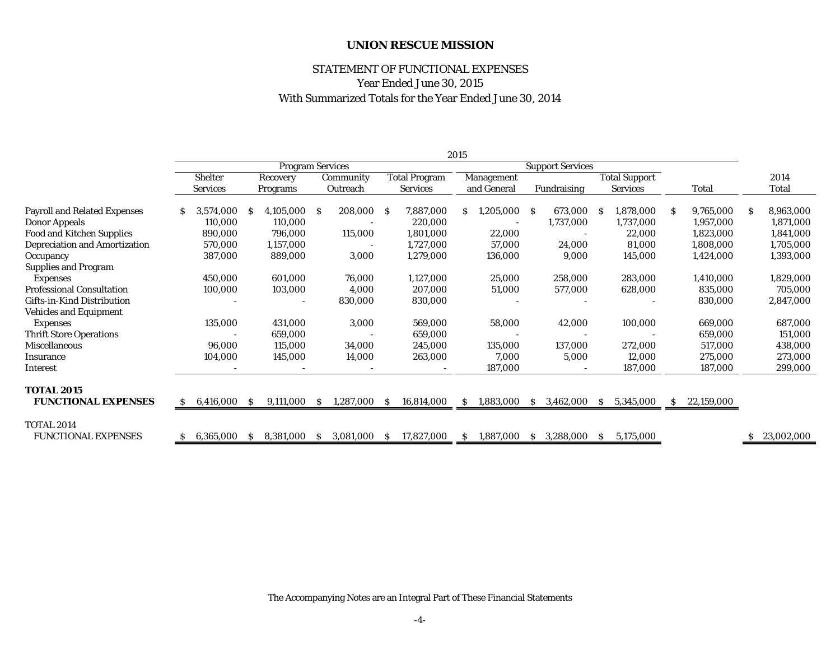## STATEMENT OF FUNCTIONAL EXPENSES Year Ended June 30, 2015 With Summarized Totals for the Year Ended June 30, 2014

|                                      | 2015                    |                 |              |           |    |                         |     |                      |    |                                    |          |             |    |                 |    |            |    |            |
|--------------------------------------|-------------------------|-----------------|--------------|-----------|----|-------------------------|-----|----------------------|----|------------------------------------|----------|-------------|----|-----------------|----|------------|----|------------|
|                                      | <b>Program Services</b> |                 |              |           |    | <b>Support Services</b> |     |                      |    |                                    |          |             |    |                 |    |            |    |            |
|                                      |                         | <b>Shelter</b>  |              | Recovery  |    | Community               |     | <b>Total Program</b> |    | <b>Total Support</b><br>Management |          |             |    |                 |    | 2014       |    |            |
|                                      |                         | <b>Services</b> |              | Programs  |    | Outreach                |     | <b>Services</b>      |    | and General                        |          | Fundraising |    | <b>Services</b> |    | Total      |    | Total      |
| <b>Payroll and Related Expenses</b>  |                         | 3,574,000       | <sup>S</sup> | 4,105,000 | -S | 208,000                 | - S | 7,887,000            | S  | 1,205,000                          | - S      | 673,000     | S  | 1,878,000       |    | 9,765,000  | S. | 8,963,000  |
| <b>Donor Appeals</b>                 |                         | 110,000         |              | 110,000   |    |                         |     | 220,000              |    |                                    |          | 1,737,000   |    | 1,737,000       |    | 1,957,000  |    | 1,871,000  |
| <b>Food and Kitchen Supplies</b>     |                         | 890,000         |              | 796,000   |    | 115,000                 |     | 1,801,000            |    | 22,000                             |          |             |    | 22,000          |    | 1,823,000  |    | 1,841,000  |
| <b>Depreciation and Amortization</b> |                         | 570,000         |              | 1,157,000 |    |                         |     | 1,727,000            |    | 57,000                             |          | 24,000      |    | 81,000          |    | 1,808,000  |    | 1,705,000  |
| Occupancy                            |                         | 387,000         |              | 889,000   |    | 3,000                   |     | 1,279,000            |    | 136,000                            |          | 9,000       |    | 145,000         |    | 1,424,000  |    | 1,393,000  |
| <b>Supplies and Program</b>          |                         |                 |              |           |    |                         |     |                      |    |                                    |          |             |    |                 |    |            |    |            |
| <b>Expenses</b>                      |                         | 450,000         |              | 601,000   |    | 76,000                  |     | 1,127,000            |    | 25,000                             |          | 258,000     |    | 283,000         |    | 1,410,000  |    | 1,829,000  |
| <b>Professional Consultation</b>     |                         | 100,000         |              | 103,000   |    | 4,000                   |     | 207,000              |    | 51,000                             |          | 577,000     |    | 628,000         |    | 835,000    |    | 705,000    |
| Gifts-in-Kind Distribution           |                         |                 |              |           |    | 830,000                 |     | 830,000              |    |                                    |          |             |    |                 |    | 830,000    |    | 2,847,000  |
| <b>Vehicles and Equipment</b>        |                         |                 |              |           |    |                         |     |                      |    |                                    |          |             |    |                 |    |            |    |            |
| <b>Expenses</b>                      |                         | 135,000         |              | 431,000   |    | 3,000                   |     | 569,000              |    | 58,000                             |          | 42,000      |    | 100,000         |    | 669,000    |    | 687,000    |
| <b>Thrift Store Operations</b>       |                         |                 |              | 659,000   |    |                         |     | 659,000              |    |                                    |          |             |    |                 |    | 659,000    |    | 151,000    |
| <b>Miscellaneous</b>                 |                         | 96,000          |              | 115,000   |    | 34,000                  |     | 245,000              |    | 135,000                            |          | 137,000     |    | 272,000         |    | 517,000    |    | 438,000    |
| Insurance                            |                         | 104,000         |              | 145,000   |    | 14,000                  |     | 263,000              |    | 7,000                              |          | 5,000       |    | 12,000          |    | 275,000    |    | 273,000    |
| <b>Interest</b>                      |                         |                 |              |           |    |                         |     |                      |    | 187,000                            |          |             |    | 187,000         |    | 187,000    |    | 299,000    |
| <b>TOTAL 2015</b>                    |                         |                 |              |           |    |                         |     |                      |    |                                    |          |             |    |                 |    |            |    |            |
| <b>FUNCTIONAL EXPENSES</b>           | S.                      | 6,416,000       | -S           | 9,111,000 | -S | 1,287,000               | S.  | 16,814,000           | S. | 1,883,000                          | S.       | 3,462,000   | S. | 5,345,000       | S. | 22,159,000 |    |            |
| <b>TOTAL 2014</b>                    |                         |                 |              |           |    |                         |     |                      |    |                                    |          |             |    |                 |    |            |    |            |
| <b>FUNCTIONAL EXPENSES</b>           |                         | 6,365,000       | S.           | 8,381,000 | -S | 3,081,000               | S   | 17,827,000           | S  | 1,887,000                          | <b>S</b> | 3,288,000   | S  | 5,175,000       |    |            |    | 23,002,000 |

The Accompanying Notes are an Integral Part of These Financial Statements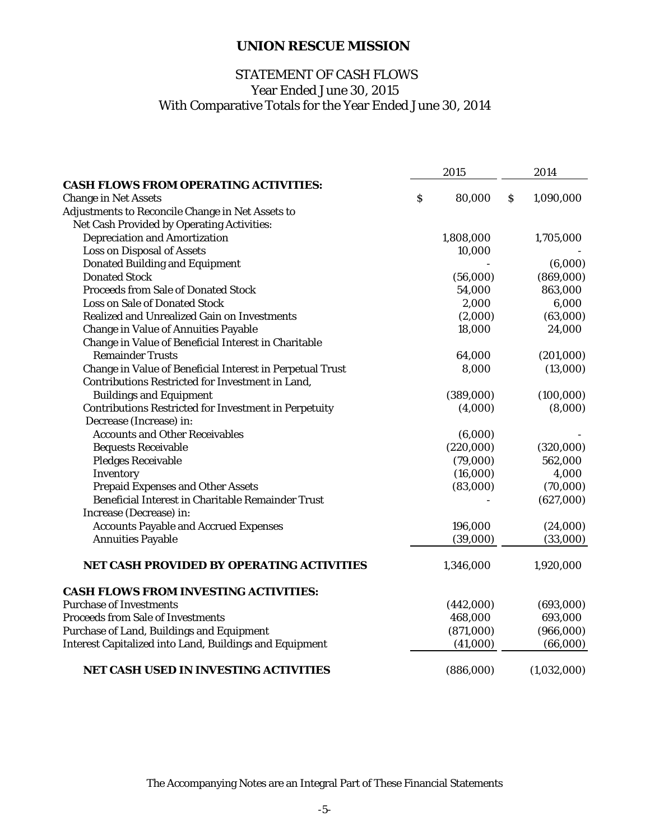## With Comparative Totals for the Year Ended June 30, 2014 STATEMENT OF CASH FLOWS Year Ended June 30, 2015

|                                                                |               | 2015      | 2014         |             |  |
|----------------------------------------------------------------|---------------|-----------|--------------|-------------|--|
| <b>CASH FLOWS FROM OPERATING ACTIVITIES:</b>                   |               |           |              |             |  |
| <b>Change in Net Assets</b>                                    | $\mathcal{S}$ | 80,000    | <sub>S</sub> | 1,090,000   |  |
| Adjustments to Reconcile Change in Net Assets to               |               |           |              |             |  |
| Net Cash Provided by Operating Activities:                     |               |           |              |             |  |
| <b>Depreciation and Amortization</b>                           |               | 1,808,000 |              | 1,705,000   |  |
| <b>Loss on Disposal of Assets</b>                              |               | 10,000    |              |             |  |
| <b>Donated Building and Equipment</b>                          |               |           |              | (6,000)     |  |
| <b>Donated Stock</b>                                           |               | (56,000)  |              | (869,000)   |  |
| <b>Proceeds from Sale of Donated Stock</b>                     |               | 54,000    |              | 863,000     |  |
| <b>Loss on Sale of Donated Stock</b>                           |               | 2,000     |              | 6,000       |  |
| <b>Realized and Unrealized Gain on Investments</b>             |               | (2,000)   |              | (63,000)    |  |
| <b>Change in Value of Annuities Payable</b>                    |               | 18,000    |              | 24,000      |  |
| Change in Value of Beneficial Interest in Charitable           |               |           |              |             |  |
| <b>Remainder Trusts</b>                                        |               | 64,000    |              | (201,000)   |  |
| Change in Value of Beneficial Interest in Perpetual Trust      |               | 8,000     |              | (13,000)    |  |
| Contributions Restricted for Investment in Land,               |               |           |              |             |  |
| <b>Buildings and Equipment</b>                                 |               | (389,000) |              | (100,000)   |  |
| <b>Contributions Restricted for Investment in Perpetuity</b>   |               | (4,000)   |              | (8,000)     |  |
| Decrease (Increase) in:                                        |               |           |              |             |  |
| <b>Accounts and Other Receivables</b>                          |               | (6,000)   |              |             |  |
| <b>Bequests Receivable</b>                                     |               | (220,000) |              | (320,000)   |  |
| <b>Pledges Receivable</b>                                      |               | (79,000)  |              | 562,000     |  |
| Inventory                                                      |               | (16,000)  |              | 4,000       |  |
| <b>Prepaid Expenses and Other Assets</b>                       |               | (83,000)  |              | (70,000)    |  |
| Beneficial Interest in Charitable Remainder Trust              |               |           |              | (627,000)   |  |
| Increase (Decrease) in:                                        |               |           |              |             |  |
| <b>Accounts Payable and Accrued Expenses</b>                   |               | 196,000   |              | (24,000)    |  |
| <b>Annuities Payable</b>                                       |               | (39,000)  |              | (33,000)    |  |
| <b>NET CASH PROVIDED BY OPERATING ACTIVITIES</b>               |               | 1,346,000 |              | 1,920,000   |  |
|                                                                |               |           |              |             |  |
| <b>CASH FLOWS FROM INVESTING ACTIVITIES:</b>                   |               |           |              |             |  |
| <b>Purchase of Investments</b>                                 |               | (442,000) |              | (693,000)   |  |
| <b>Proceeds from Sale of Investments</b>                       |               | 468,000   |              | 693,000     |  |
| Purchase of Land, Buildings and Equipment                      |               | (871,000) |              | (966,000)   |  |
| <b>Interest Capitalized into Land, Buildings and Equipment</b> |               | (41,000)  |              | (66,000)    |  |
| NET CASH USED IN INVESTING ACTIVITIES                          |               | (886,000) |              | (1,032,000) |  |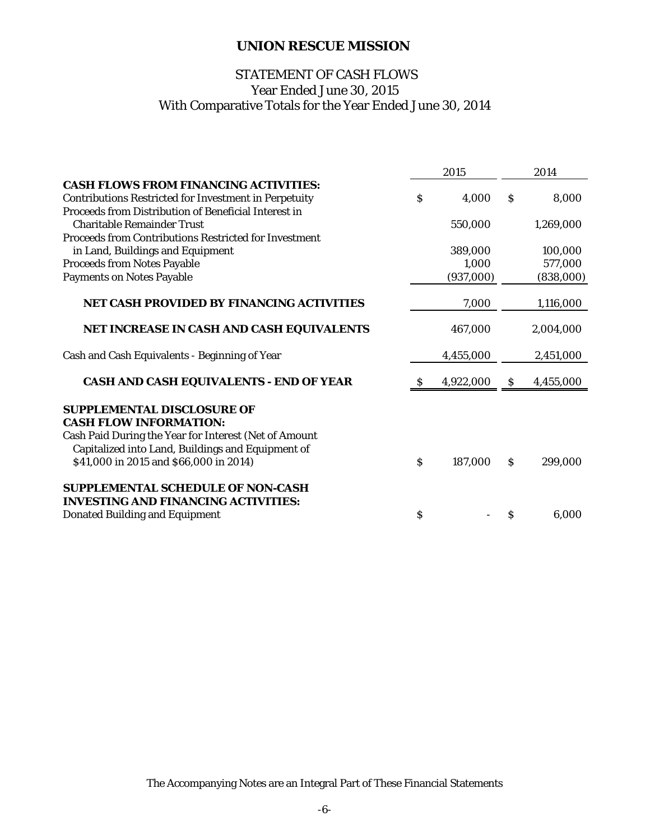## With Comparative Totals for the Year Ended June 30, 2014 STATEMENT OF CASH FLOWS Year Ended June 30, 2015

|                                                                                                            | 2015          |               | 2014      |
|------------------------------------------------------------------------------------------------------------|---------------|---------------|-----------|
| <b>CASH FLOWS FROM FINANCING ACTIVITIES:</b>                                                               |               |               |           |
| <b>Contributions Restricted for Investment in Perpetuity</b>                                               | \$<br>4,000   | <sub>S</sub>  | 8,000     |
| Proceeds from Distribution of Beneficial Interest in                                                       |               |               |           |
| <b>Charitable Remainder Trust</b>                                                                          | 550,000       |               | 1,269,000 |
| <b>Proceeds from Contributions Restricted for Investment</b>                                               |               |               |           |
| in Land, Buildings and Equipment                                                                           | 389,000       |               | 100,000   |
| <b>Proceeds from Notes Payable</b>                                                                         | 1,000         |               | 577,000   |
| <b>Payments on Notes Payable</b>                                                                           | (937,000)     |               | (838,000) |
| <b>NET CASH PROVIDED BY FINANCING ACTIVITIES</b>                                                           | 7,000         |               | 1,116,000 |
|                                                                                                            |               |               |           |
| NET INCREASE IN CASH AND CASH EQUIVALENTS                                                                  | 467,000       |               | 2,004,000 |
| Cash and Cash Equivalents - Beginning of Year                                                              | 4,455,000     |               | 2,451,000 |
| <b>CASH AND CASH EQUIVALENTS - END OF YEAR</b>                                                             | 4,922,000     | \$            | 4,455,000 |
| <b>SUPPLEMENTAL DISCLOSURE OF</b><br><b>CASH FLOW INFORMATION:</b>                                         |               |               |           |
| Cash Paid During the Year for Interest (Net of Amount<br>Capitalized into Land, Buildings and Equipment of |               |               |           |
| \$41,000 in 2015 and \$66,000 in 2014)                                                                     | \$<br>187,000 | $\mathcal{S}$ | 299,000   |
| <b>SUPPLEMENTAL SCHEDULE OF NON-CASH</b>                                                                   |               |               |           |
| <b>INVESTING AND FINANCING ACTIVITIES:</b>                                                                 |               |               |           |
| <b>Donated Building and Equipment</b>                                                                      | \$            | S             | 6,000     |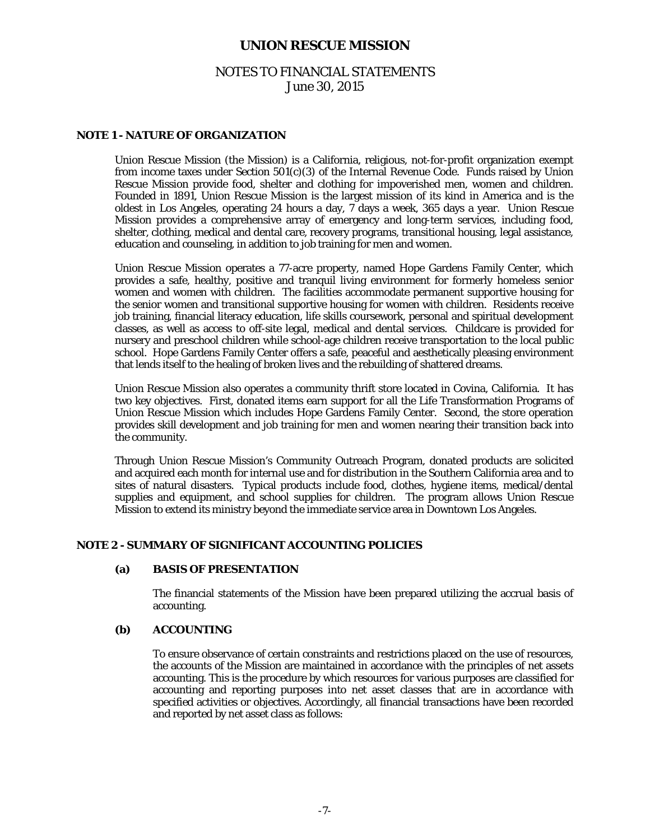## NOTES TO FINANCIAL STATEMENTS June 30, 2015

#### **NOTE 1 - NATURE OF ORGANIZATION**

Union Rescue Mission (the Mission) is a California, religious, not-for-profit organization exempt from income taxes under Section  $501(c)(3)$  of the Internal Revenue Code. Funds raised by Union Rescue Mission provide food, shelter and clothing for impoverished men, women and children. Founded in 1891, Union Rescue Mission is the largest mission of its kind in America and is the oldest in Los Angeles, operating 24 hours a day, 7 days a week, 365 days a year. Union Rescue Mission provides a comprehensive array of emergency and long-term services, including food, shelter, clothing, medical and dental care, recovery programs, transitional housing, legal assistance, education and counseling, in addition to job training for men and women.

Union Rescue Mission operates a 77-acre property, named Hope Gardens Family Center, which provides a safe, healthy, positive and tranquil living environment for formerly homeless senior women and women with children. The facilities accommodate permanent supportive housing for the senior women and transitional supportive housing for women with children. Residents receive job training, financial literacy education, life skills coursework, personal and spiritual development classes, as well as access to off-site legal, medical and dental services. Childcare is provided for nursery and preschool children while school-age children receive transportation to the local public school. Hope Gardens Family Center offers a safe, peaceful and aesthetically pleasing environment that lends itself to the healing of broken lives and the rebuilding of shattered dreams.

Union Rescue Mission also operates a community thrift store located in Covina, California. It has two key objectives. First, donated items earn support for all the Life Transformation Programs of Union Rescue Mission which includes Hope Gardens Family Center. Second, the store operation provides skill development and job training for men and women nearing their transition back into the community.

Through Union Rescue Mission's Community Outreach Program, donated products are solicited and acquired each month for internal use and for distribution in the Southern California area and to sites of natural disasters. Typical products include food, clothes, hygiene items, medical/dental supplies and equipment, and school supplies for children. The program allows Union Rescue Mission to extend its ministry beyond the immediate service area in Downtown Los Angeles.

#### **NOTE 2 - SUMMARY OF SIGNIFICANT ACCOUNTING POLICIES**

#### **(a) BASIS OF PRESENTATION**

The financial statements of the Mission have been prepared utilizing the accrual basis of accounting.

#### **(b) ACCOUNTING**

To ensure observance of certain constraints and restrictions placed on the use of resources, the accounts of the Mission are maintained in accordance with the principles of net assets accounting. This is the procedure by which resources for various purposes are classified for accounting and reporting purposes into net asset classes that are in accordance with specified activities or objectives. Accordingly, all financial transactions have been recorded and reported by net asset class as follows: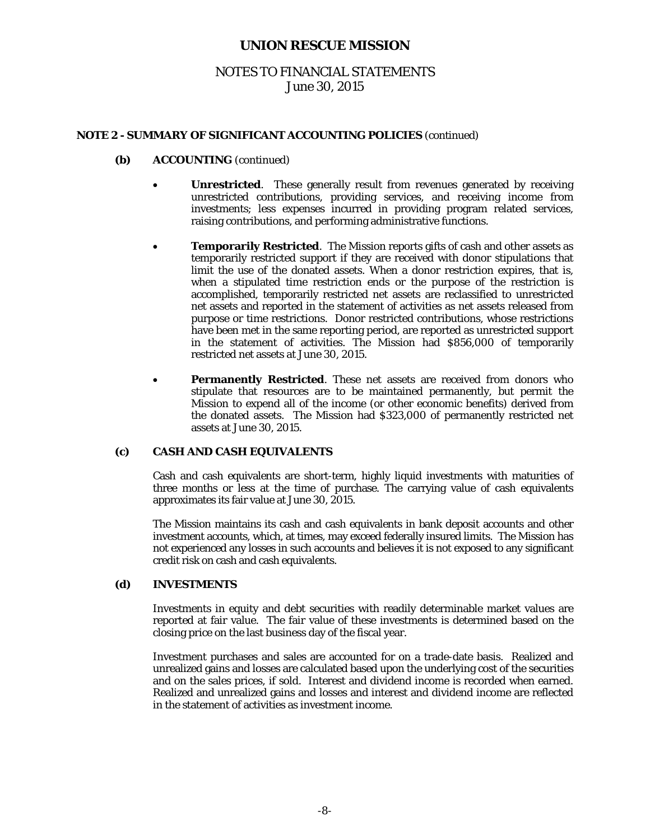## NOTES TO FINANCIAL STATEMENTS June 30, 2015

#### **NOTE 2 - SUMMARY OF SIGNIFICANT ACCOUNTING POLICIES** (continued)

- **(b) ACCOUNTING** (continued)
	- **Unrestricted**. These generally result from revenues generated by receiving unrestricted contributions, providing services, and receiving income from investments; less expenses incurred in providing program related services, raising contributions, and performing administrative functions.
	- **Temporarily Restricted**. The Mission reports gifts of cash and other assets as temporarily restricted support if they are received with donor stipulations that limit the use of the donated assets. When a donor restriction expires, that is, when a stipulated time restriction ends or the purpose of the restriction is accomplished, temporarily restricted net assets are reclassified to unrestricted net assets and reported in the statement of activities as net assets released from purpose or time restrictions. Donor restricted contributions, whose restrictions have been met in the same reporting period, are reported as unrestricted support in the statement of activities. The Mission had \$856,000 of temporarily restricted net assets at June 30, 2015.
	- **Permanently Restricted**. These net assets are received from donors who stipulate that resources are to be maintained permanently, but permit the Mission to expend all of the income (or other economic benefits) derived from the donated assets. The Mission had \$323,000 of permanently restricted net assets at June 30, 2015.

#### **(c) CASH AND CASH EQUIVALENTS**

Cash and cash equivalents are short-term, highly liquid investments with maturities of three months or less at the time of purchase. The carrying value of cash equivalents approximates its fair value at June 30, 2015.

The Mission maintains its cash and cash equivalents in bank deposit accounts and other investment accounts, which, at times, may exceed federally insured limits. The Mission has not experienced any losses in such accounts and believes it is not exposed to any significant credit risk on cash and cash equivalents.

#### **(d) INVESTMENTS**

Investments in equity and debt securities with readily determinable market values are reported at fair value. The fair value of these investments is determined based on the closing price on the last business day of the fiscal year.

Investment purchases and sales are accounted for on a trade-date basis. Realized and unrealized gains and losses are calculated based upon the underlying cost of the securities and on the sales prices, if sold. Interest and dividend income is recorded when earned. Realized and unrealized gains and losses and interest and dividend income are reflected in the statement of activities as investment income.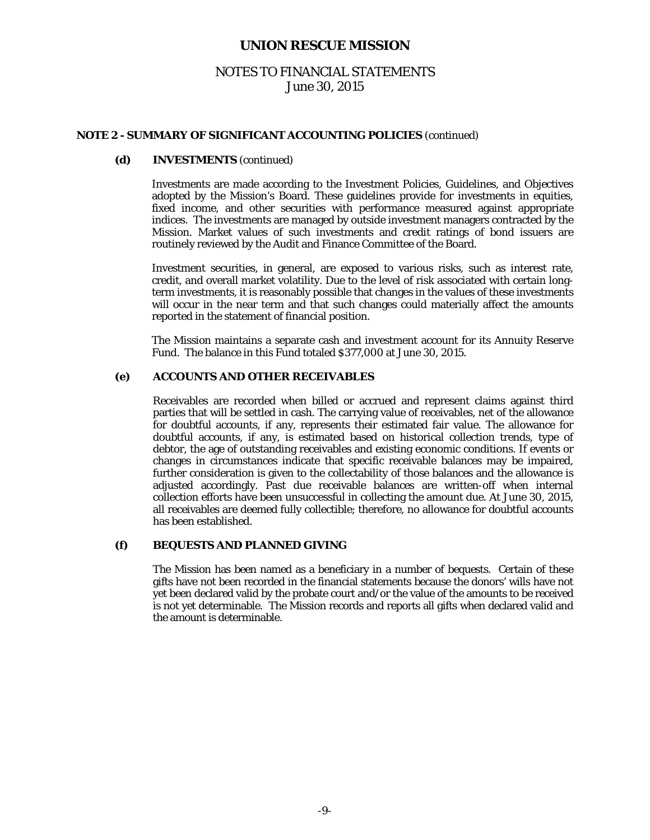## NOTES TO FINANCIAL STATEMENTS June 30, 2015

#### **NOTE 2 - SUMMARY OF SIGNIFICANT ACCOUNTING POLICIES** (continued)

#### **(d) INVESTMENTS** (continued)

Investments are made according to the Investment Policies, Guidelines, and Objectives adopted by the Mission's Board. These guidelines provide for investments in equities, fixed income, and other securities with performance measured against appropriate indices. The investments are managed by outside investment managers contracted by the Mission. Market values of such investments and credit ratings of bond issuers are routinely reviewed by the Audit and Finance Committee of the Board.

Investment securities, in general, are exposed to various risks, such as interest rate, credit, and overall market volatility. Due to the level of risk associated with certain longterm investments, it is reasonably possible that changes in the values of these investments will occur in the near term and that such changes could materially affect the amounts reported in the statement of financial position.

The Mission maintains a separate cash and investment account for its Annuity Reserve Fund. The balance in this Fund totaled \$377,000 at June 30, 2015.

#### **(e) ACCOUNTS AND OTHER RECEIVABLES**

Receivables are recorded when billed or accrued and represent claims against third parties that will be settled in cash. The carrying value of receivables, net of the allowance for doubtful accounts, if any, represents their estimated fair value. The allowance for doubtful accounts, if any, is estimated based on historical collection trends, type of debtor, the age of outstanding receivables and existing economic conditions. If events or changes in circumstances indicate that specific receivable balances may be impaired, further consideration is given to the collectability of those balances and the allowance is adjusted accordingly. Past due receivable balances are written-off when internal collection efforts have been unsuccessful in collecting the amount due. At June 30, 2015, all receivables are deemed fully collectible; therefore, no allowance for doubtful accounts has been established.

#### **(f) BEQUESTS AND PLANNED GIVING**

The Mission has been named as a beneficiary in a number of bequests. Certain of these gifts have not been recorded in the financial statements because the donors' wills have not yet been declared valid by the probate court and/or the value of the amounts to be received is not yet determinable. The Mission records and reports all gifts when declared valid and the amount is determinable.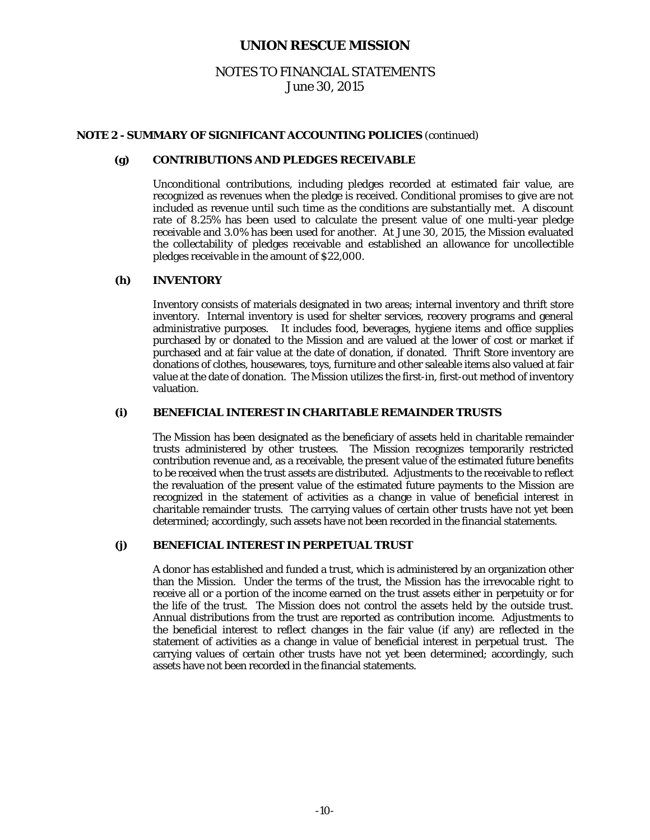## NOTES TO FINANCIAL STATEMENTS June 30, 2015

#### **NOTE 2 - SUMMARY OF SIGNIFICANT ACCOUNTING POLICIES** (continued)

#### **(g) CONTRIBUTIONS AND PLEDGES RECEIVABLE**

Unconditional contributions, including pledges recorded at estimated fair value, are recognized as revenues when the pledge is received. Conditional promises to give are not included as revenue until such time as the conditions are substantially met. A discount rate of 8.25% has been used to calculate the present value of one multi-year pledge receivable and 3.0% has been used for another. At June 30, 2015, the Mission evaluated the collectability of pledges receivable and established an allowance for uncollectible pledges receivable in the amount of \$22,000.

#### **(h) INVENTORY**

Inventory consists of materials designated in two areas; internal inventory and thrift store inventory. Internal inventory is used for shelter services, recovery programs and general administrative purposes. It includes food, beverages, hygiene items and office supplies purchased by or donated to the Mission and are valued at the lower of cost or market if purchased and at fair value at the date of donation, if donated. Thrift Store inventory are donations of clothes, housewares, toys, furniture and other saleable items also valued at fair value at the date of donation. The Mission utilizes the first-in, first-out method of inventory valuation.

#### **(i) BENEFICIAL INTEREST IN CHARITABLE REMAINDER TRUSTS**

The Mission has been designated as the beneficiary of assets held in charitable remainder trusts administered by other trustees. The Mission recognizes temporarily restricted contribution revenue and, as a receivable, the present value of the estimated future benefits to be received when the trust assets are distributed. Adjustments to the receivable to reflect the revaluation of the present value of the estimated future payments to the Mission are recognized in the statement of activities as a change in value of beneficial interest in charitable remainder trusts. The carrying values of certain other trusts have not yet been determined; accordingly, such assets have not been recorded in the financial statements.

#### **(j) BENEFICIAL INTEREST IN PERPETUAL TRUST**

A donor has established and funded a trust, which is administered by an organization other than the Mission. Under the terms of the trust, the Mission has the irrevocable right to receive all or a portion of the income earned on the trust assets either in perpetuity or for the life of the trust. The Mission does not control the assets held by the outside trust. Annual distributions from the trust are reported as contribution income. Adjustments to the beneficial interest to reflect changes in the fair value (if any) are reflected in the statement of activities as a change in value of beneficial interest in perpetual trust. The carrying values of certain other trusts have not yet been determined; accordingly, such assets have not been recorded in the financial statements.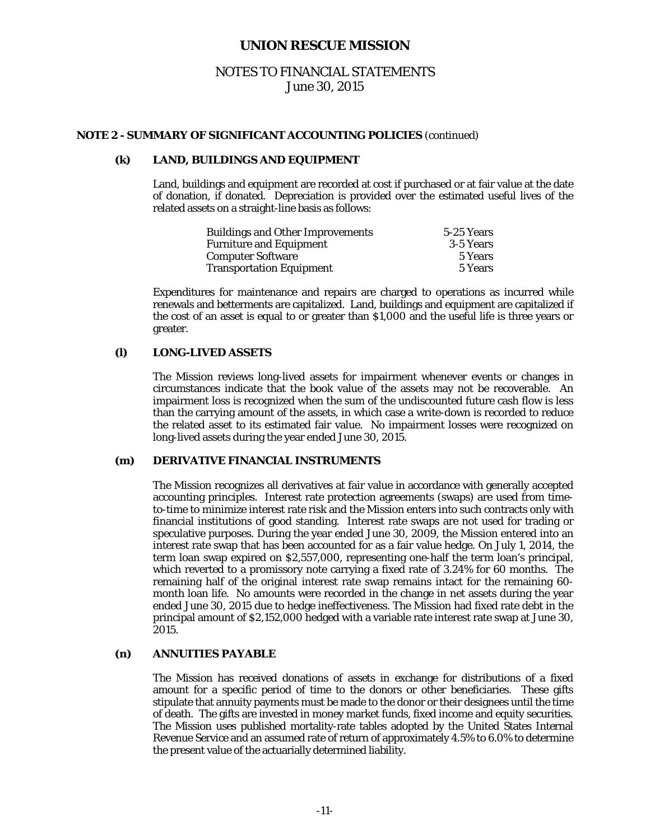## NOTES TO FINANCIAL STATEMENTS June 30, 2015

#### **NOTE 2 - SUMMARY OF SIGNIFICANT ACCOUNTING POLICIES** (continued)

#### **(k) LAND, BUILDINGS AND EQUIPMENT**

Land, buildings and equipment are recorded at cost if purchased or at fair value at the date of donation, if donated. Depreciation is provided over the estimated useful lives of the related assets on a straight-line basis as follows:

| <b>Buildings and Other Improvements</b> | 5-25 Years |
|-----------------------------------------|------------|
| <b>Furniture and Equipment</b>          | 3-5 Years  |
| <b>Computer Software</b>                | 5 Years    |
| Transportation Equipment                | 5 Years    |

Expenditures for maintenance and repairs are charged to operations as incurred while renewals and betterments are capitalized. Land, buildings and equipment are capitalized if the cost of an asset is equal to or greater than \$1,000 and the useful life is three years or greater.

#### **(l) LONG-LIVED ASSETS**

The Mission reviews long-lived assets for impairment whenever events or changes in circumstances indicate that the book value of the assets may not be recoverable. An impairment loss is recognized when the sum of the undiscounted future cash flow is less than the carrying amount of the assets, in which case a write-down is recorded to reduce the related asset to its estimated fair value. No impairment losses were recognized on long-lived assets during the year ended June 30, 2015.

### **(m) DERIVATIVE FINANCIAL INSTRUMENTS**

The Mission recognizes all derivatives at fair value in accordance with generally accepted accounting principles. Interest rate protection agreements (swaps) are used from timeto-time to minimize interest rate risk and the Mission enters into such contracts only with financial institutions of good standing. Interest rate swaps are not used for trading or speculative purposes. During the year ended June 30, 2009, the Mission entered into an interest rate swap that has been accounted for as a fair value hedge. On July 1, 2014, the term loan swap expired on \$2,557,000, representing one-half the term loan's principal, which reverted to a promissory note carrying a fixed rate of 3.24% for 60 months. The remaining half of the original interest rate swap remains intact for the remaining 60 month loan life. No amounts were recorded in the change in net assets during the year ended June 30, 2015 due to hedge ineffectiveness. The Mission had fixed rate debt in the principal amount of \$2,152,000 hedged with a variable rate interest rate swap at June 30, 2015.

#### **(n) ANNUITIES PAYABLE**

The Mission has received donations of assets in exchange for distributions of a fixed amount for a specific period of time to the donors or other beneficiaries. These gifts stipulate that annuity payments must be made to the donor or their designees until the time of death. The gifts are invested in money market funds, fixed income and equity securities. The Mission uses published mortality-rate tables adopted by the United States Internal Revenue Service and an assumed rate of return of approximately 4.5% to 6.0% to determine the present value of the actuarially determined liability.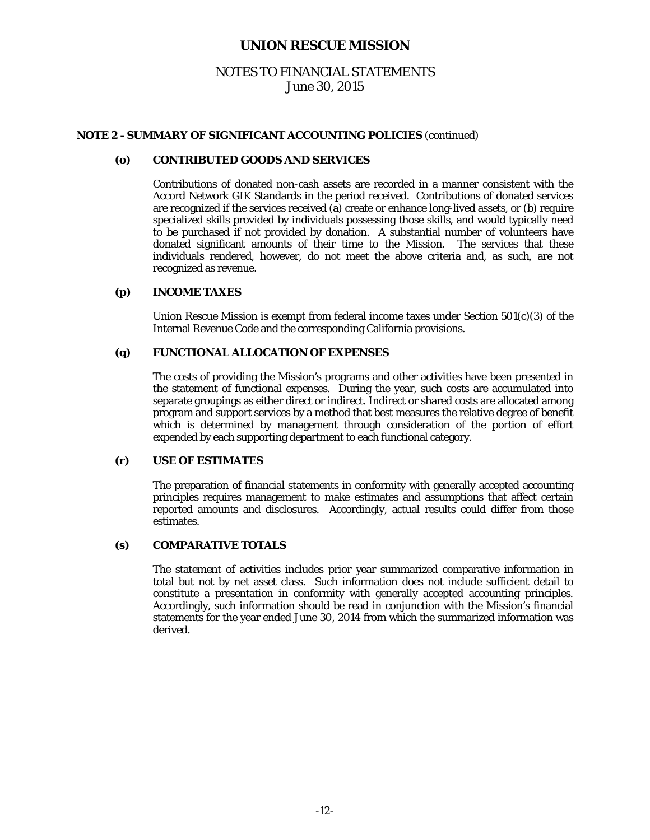## NOTES TO FINANCIAL STATEMENTS June 30, 2015

#### **NOTE 2 - SUMMARY OF SIGNIFICANT ACCOUNTING POLICIES** (continued)

#### **(o) CONTRIBUTED GOODS AND SERVICES**

Contributions of donated non-cash assets are recorded in a manner consistent with the Accord Network GIK Standards in the period received. Contributions of donated services are recognized if the services received (a) create or enhance long-lived assets, or (b) require specialized skills provided by individuals possessing those skills, and would typically need to be purchased if not provided by donation. A substantial number of volunteers have donated significant amounts of their time to the Mission. The services that these individuals rendered, however, do not meet the above criteria and, as such, are not recognized as revenue.

#### **(p) INCOME TAXES**

Union Rescue Mission is exempt from federal income taxes under Section 501(c)(3) of the Internal Revenue Code and the corresponding California provisions.

#### **(q) FUNCTIONAL ALLOCATION OF EXPENSES**

The costs of providing the Mission's programs and other activities have been presented in the statement of functional expenses. During the year, such costs are accumulated into separate groupings as either direct or indirect. Indirect or shared costs are allocated among program and support services by a method that best measures the relative degree of benefit which is determined by management through consideration of the portion of effort expended by each supporting department to each functional category.

#### **(r) USE OF ESTIMATES**

The preparation of financial statements in conformity with generally accepted accounting principles requires management to make estimates and assumptions that affect certain reported amounts and disclosures. Accordingly, actual results could differ from those estimates.

#### **(s) COMPARATIVE TOTALS**

The statement of activities includes prior year summarized comparative information in total but not by net asset class. Such information does not include sufficient detail to constitute a presentation in conformity with generally accepted accounting principles. Accordingly, such information should be read in conjunction with the Mission's financial statements for the year ended June 30, 2014 from which the summarized information was derived.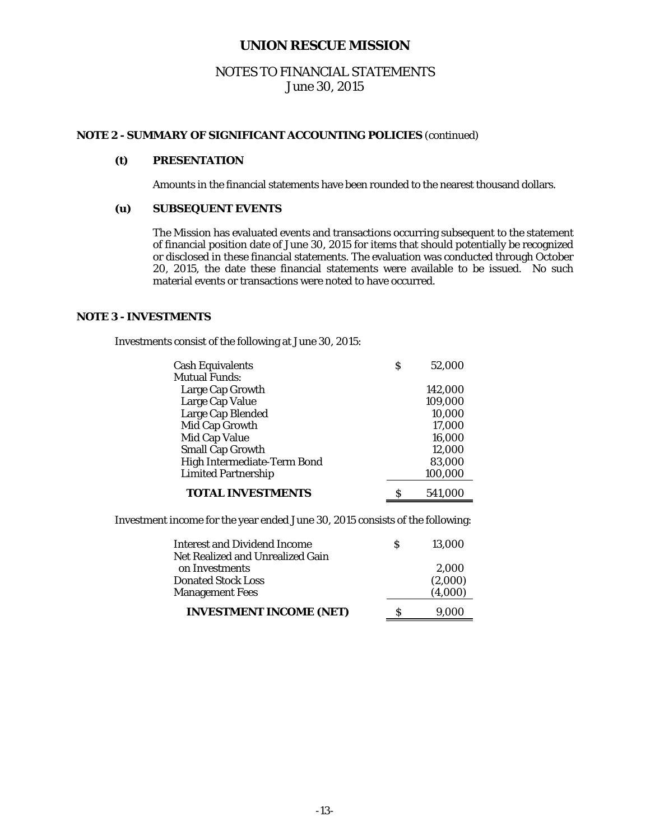## NOTES TO FINANCIAL STATEMENTS June 30, 2015

#### **NOTE 2 - SUMMARY OF SIGNIFICANT ACCOUNTING POLICIES** (continued)

#### **(t) PRESENTATION**

Amounts in the financial statements have been rounded to the nearest thousand dollars.

#### **(u) SUBSEQUENT EVENTS**

The Mission has evaluated events and transactions occurring subsequent to the statement of financial position date of June 30, 2015 for items that should potentially be recognized or disclosed in these financial statements. The evaluation was conducted through October 20, 2015, the date these financial statements were available to be issued. No such material events or transactions were noted to have occurred.

#### **NOTE 3 - INVESTMENTS**

Investments consist of the following at June 30, 2015:

| <b>Cash Equivalents</b>     | S | 52.000  |
|-----------------------------|---|---------|
| <b>Mutual Funds:</b>        |   |         |
| Large Cap Growth            |   | 142,000 |
| Large Cap Value             |   | 109,000 |
| Large Cap Blended           |   | 10,000  |
| Mid Cap Growth              |   | 17,000  |
| Mid Cap Value               |   | 16,000  |
| <b>Small Cap Growth</b>     |   | 12,000  |
| High Intermediate-Term Bond |   | 83,000  |
| <b>Limited Partnership</b>  |   | 100,000 |
| <b>TOTAL INVESTMENTS</b>    | S | 541,000 |

Investment income for the year ended June 30, 2015 consists of the following:

| <b>Interest and Dividend Income</b><br>Net Realized and Unrealized Gain | S | 13.000  |
|-------------------------------------------------------------------------|---|---------|
| on Investments                                                          |   | 2.000   |
| <b>Donated Stock Loss</b>                                               |   | (2,000) |
| <b>Management Fees</b>                                                  |   | (4,000) |
| <b>INVESTMENT INCOME (NET)</b>                                          |   | 9.000   |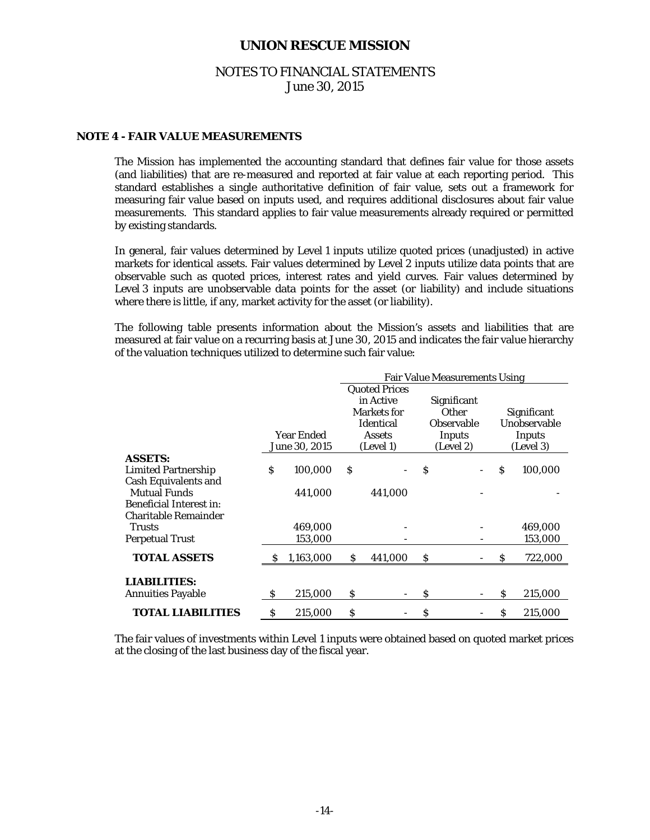## NOTES TO FINANCIAL STATEMENTS June 30, 2015

#### **NOTE 4 - FAIR VALUE MEASUREMENTS**

 The Mission has implemented the accounting standard that defines fair value for those assets (and liabilities) that are re-measured and reported at fair value at each reporting period. This standard establishes a single authoritative definition of fair value, sets out a framework for measuring fair value based on inputs used, and requires additional disclosures about fair value measurements. This standard applies to fair value measurements already required or permitted by existing standards.

 In general, fair values determined by Level 1 inputs utilize quoted prices (unadjusted) in active markets for identical assets. Fair values determined by Level 2 inputs utilize data points that are observable such as quoted prices, interest rates and yield curves. Fair values determined by Level 3 inputs are unobservable data points for the asset (or liability) and include situations where there is little, if any, market activity for the asset (or liability).

 The following table presents information about the Mission's assets and liabilities that are measured at fair value on a recurring basis at June 30, 2015 and indicates the fair value hierarchy of the valuation techniques utilized to determine such fair value:

|                                |    |                      | <b>Fair Value Measurements Using</b> |                    |    |              |           |                    |
|--------------------------------|----|----------------------|--------------------------------------|--------------------|----|--------------|-----------|--------------------|
|                                |    | <b>Quoted Prices</b> |                                      |                    |    |              |           |                    |
|                                |    |                      |                                      | in Active          |    | Significant  |           |                    |
|                                |    |                      |                                      | <b>Markets for</b> |    | <b>Other</b> |           | <b>Significant</b> |
|                                |    |                      |                                      | <b>Identical</b>   |    | Observable   |           | Unobservable       |
|                                |    | <b>Year Ended</b>    |                                      | <b>Assets</b>      |    | Inputs       | Inputs    |                    |
|                                |    | June 30, 2015        |                                      | (Level 1)          |    | (Level 2)    | (Level 3) |                    |
| <b>ASSETS:</b>                 |    |                      |                                      |                    |    |              |           |                    |
| <b>Limited Partnership</b>     | Ŝ  | 100,000              | \$                                   |                    | Ŝ  |              | Ŝ         | 100,000            |
| <b>Cash Equivalents and</b>    |    |                      |                                      |                    |    |              |           |                    |
| <b>Mutual Funds</b>            |    | 441,000              |                                      | 441,000            |    |              |           |                    |
| <b>Beneficial Interest in:</b> |    |                      |                                      |                    |    |              |           |                    |
| <b>Charitable Remainder</b>    |    |                      |                                      |                    |    |              |           |                    |
| <b>Trusts</b>                  |    | 469,000              |                                      |                    |    |              |           | 469,000            |
| <b>Perpetual Trust</b>         |    | 153,000              |                                      |                    |    |              |           | 153,000            |
| <b>TOTAL ASSETS</b>            |    | 1,163,000            | \$                                   | 441,000            | S. |              | S         | 722,000            |
|                                |    |                      |                                      |                    |    |              |           |                    |
| <b>LIABILITIES:</b>            |    |                      |                                      |                    |    |              |           |                    |
| <b>Annuities Payable</b>       | \$ | 215,000              | \$                                   |                    | \$ |              | \$        | 215,000            |
| <b>TOTAL LIABILITIES</b>       | \$ | 215,000              | \$                                   |                    | Ŝ  |              | \$        | 215,000            |

The fair values of investments within Level 1 inputs were obtained based on quoted market prices at the closing of the last business day of the fiscal year.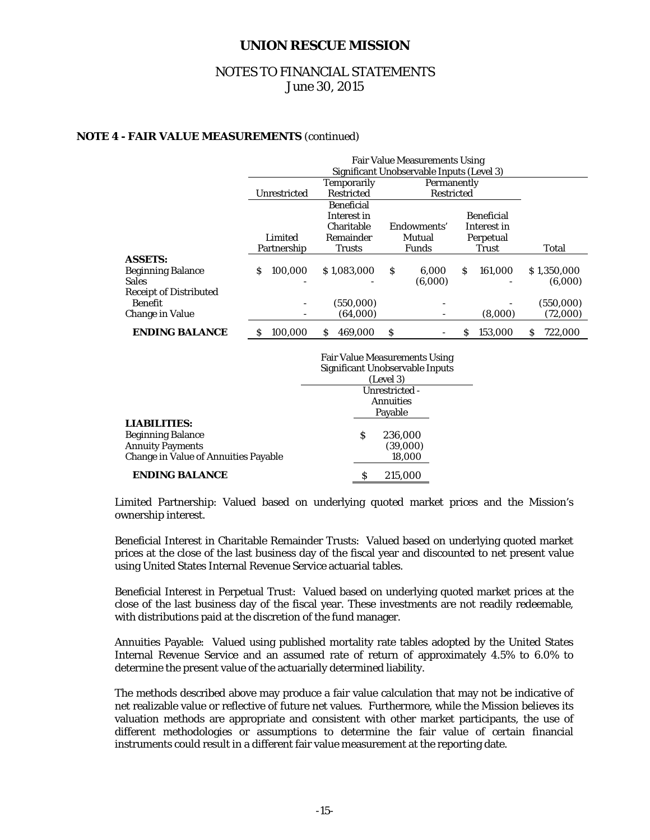## NOTES TO FINANCIAL STATEMENTS June 30, 2015

#### **NOTE 4 - FAIR VALUE MEASUREMENTS** (continued)

|                               |              | <b>Temporarily</b> | Permanently |                   |              |
|-------------------------------|--------------|--------------------|-------------|-------------------|--------------|
|                               | Unrestricted | <b>Restricted</b>  | Restricted  |                   |              |
|                               |              | <b>Beneficial</b>  |             |                   |              |
|                               |              | Interest in        |             | <b>Beneficial</b> |              |
|                               |              | Charitable         | Endowments' | Interest in       |              |
|                               | Limited      | Remainder          | Mutual      | Perpetual         |              |
|                               | Partnership  | Trusts             | Funds       | Trust             | Total        |
| <b>ASSETS:</b>                |              |                    |             |                   |              |
| <b>Beginning Balance</b>      | 100.000<br>S | \$1.083.000        | S<br>6,000  | 161.000<br>S      | \$1,350,000  |
| <b>Sales</b>                  |              |                    | (6,000)     |                   | (6,000)      |
| <b>Receipt of Distributed</b> |              |                    |             |                   |              |
| <b>Benefit</b>                |              | (550,000)          |             |                   | (550,000)    |
| <b>Change in Value</b>        |              | (64,000)           |             | (8,000)           | (72,000)     |
| <b>ENDING BALANCE</b>         | 100.000      | 469.000<br>s       | s           | 153,000<br>S      | 722,000<br>S |

|                                             | <b>Fair Value Measurements Using</b> |                                 |  |  |  |
|---------------------------------------------|--------------------------------------|---------------------------------|--|--|--|
|                                             |                                      | Significant Unobservable Inputs |  |  |  |
|                                             | (Level 3)                            |                                 |  |  |  |
|                                             | Unrestricted -                       |                                 |  |  |  |
|                                             | Annuities                            |                                 |  |  |  |
|                                             |                                      | Payable                         |  |  |  |
| <b>LIABILITIES:</b>                         |                                      |                                 |  |  |  |
| <b>Beginning Balance</b>                    | S                                    | 236,000                         |  |  |  |
| <b>Annuity Payments</b>                     |                                      | (39,000)                        |  |  |  |
| <b>Change in Value of Annuities Payable</b> |                                      | 18,000                          |  |  |  |
| ENDING BALANCE                              | S                                    | 215,000                         |  |  |  |

 Limited Partnership: Valued based on underlying quoted market prices and the Mission's ownership interest.

 Beneficial Interest in Charitable Remainder Trusts: Valued based on underlying quoted market prices at the close of the last business day of the fiscal year and discounted to net present value using United States Internal Revenue Service actuarial tables.

 Beneficial Interest in Perpetual Trust: Valued based on underlying quoted market prices at the close of the last business day of the fiscal year. These investments are not readily redeemable, with distributions paid at the discretion of the fund manager.

 Annuities Payable: Valued using published mortality rate tables adopted by the United States Internal Revenue Service and an assumed rate of return of approximately 4.5% to 6.0% to determine the present value of the actuarially determined liability.

 The methods described above may produce a fair value calculation that may not be indicative of net realizable value or reflective of future net values. Furthermore, while the Mission believes its valuation methods are appropriate and consistent with other market participants, the use of different methodologies or assumptions to determine the fair value of certain financial instruments could result in a different fair value measurement at the reporting date.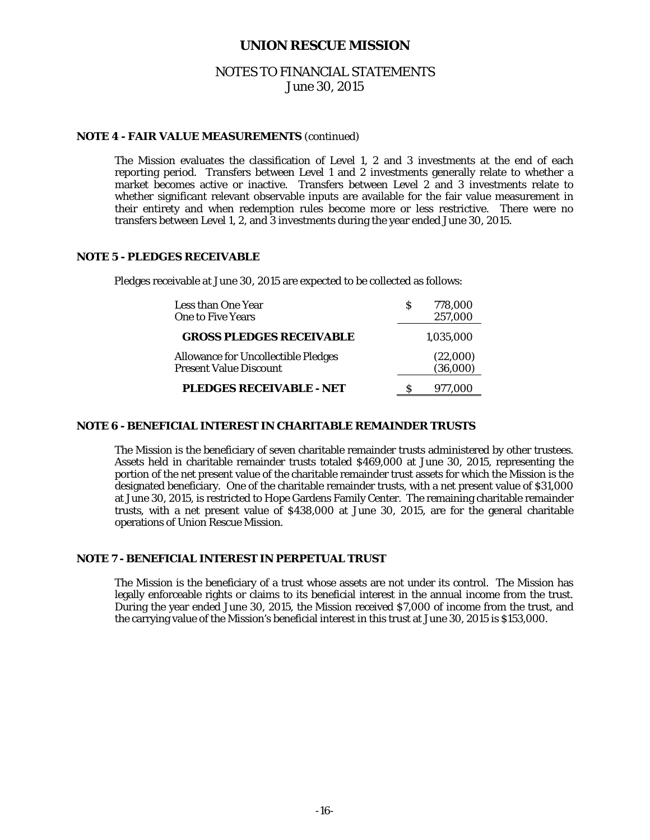## NOTES TO FINANCIAL STATEMENTS June 30, 2015

#### **NOTE 4 - FAIR VALUE MEASUREMENTS** (continued)

The Mission evaluates the classification of Level 1, 2 and 3 investments at the end of each reporting period. Transfers between Level 1 and 2 investments generally relate to whether a market becomes active or inactive. Transfers between Level 2 and 3 investments relate to whether significant relevant observable inputs are available for the fair value measurement in their entirety and when redemption rules become more or less restrictive. There were no transfers between Level 1, 2, and 3 investments during the year ended June 30, 2015.

#### **NOTE 5 - PLEDGES RECEIVABLE**

Pledges receivable at June 30, 2015 are expected to be collected as follows:

| Less than One Year<br><b>One to Five Years</b>                              | S | 778,000<br>257,000   |
|-----------------------------------------------------------------------------|---|----------------------|
| <b>GROSS PLEDGES RECEIVABLE</b>                                             |   | 1,035,000            |
| <b>Allowance for Uncollectible Pledges</b><br><b>Present Value Discount</b> |   | (22,000)<br>(36,000) |
| <b>PLEDGES RECEIVABLE - NET</b>                                             |   | 977.000              |

#### **NOTE 6 - BENEFICIAL INTEREST IN CHARITABLE REMAINDER TRUSTS**

The Mission is the beneficiary of seven charitable remainder trusts administered by other trustees. Assets held in charitable remainder trusts totaled \$469,000 at June 30, 2015, representing the portion of the net present value of the charitable remainder trust assets for which the Mission is the designated beneficiary. One of the charitable remainder trusts, with a net present value of \$31,000 at June 30, 2015, is restricted to Hope Gardens Family Center. The remaining charitable remainder trusts, with a net present value of \$438,000 at June 30, 2015, are for the general charitable operations of Union Rescue Mission.

#### **NOTE 7 - BENEFICIAL INTEREST IN PERPETUAL TRUST**

The Mission is the beneficiary of a trust whose assets are not under its control. The Mission has legally enforceable rights or claims to its beneficial interest in the annual income from the trust. During the year ended June 30, 2015, the Mission received \$7,000 of income from the trust, and the carrying value of the Mission's beneficial interest in this trust at June 30, 2015 is \$153,000.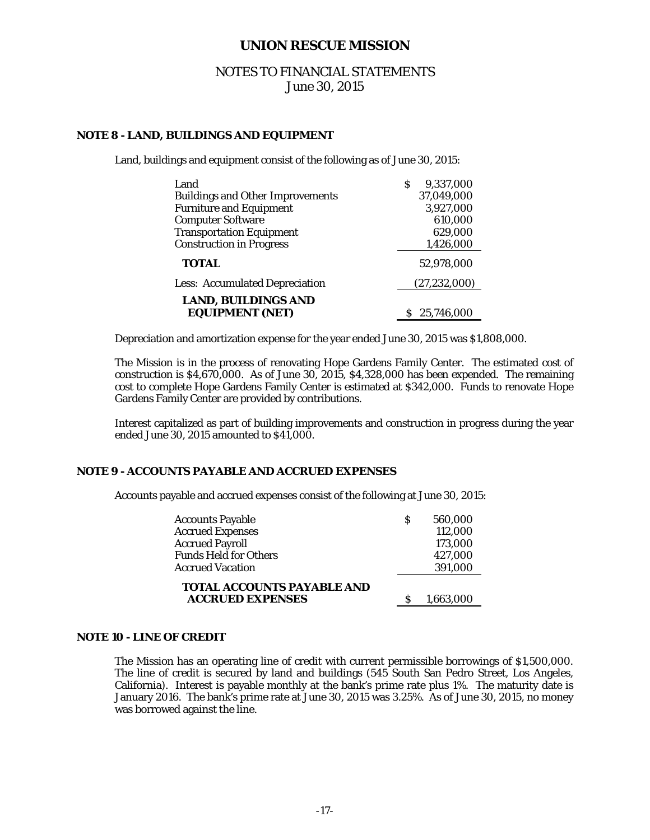## NOTES TO FINANCIAL STATEMENTS June 30, 2015

#### **NOTE 8 - LAND, BUILDINGS AND EQUIPMENT**

Land, buildings and equipment consist of the following as of June 30, 2015:

| Land                                    | 9,337,000<br>S |
|-----------------------------------------|----------------|
| <b>Buildings and Other Improvements</b> | 37,049,000     |
| <b>Furniture and Equipment</b>          | 3,927,000      |
| <b>Computer Software</b>                | 610,000        |
| <b>Transportation Equipment</b>         | 629,000        |
| <b>Construction in Progress</b>         | 1,426,000      |
| <b>TOTAL</b>                            | 52.978.000     |
| <b>Less: Accumulated Depreciation</b>   | (27, 232, 000) |
| <b>LAND, BUILDINGS AND</b>              |                |
| <b>EQUIPMENT (NET)</b>                  | 25,746,000     |

Depreciation and amortization expense for the year ended June 30, 2015 was \$1,808,000.

The Mission is in the process of renovating Hope Gardens Family Center. The estimated cost of construction is \$4,670,000. As of June 30, 2015, \$4,328,000 has been expended. The remaining cost to complete Hope Gardens Family Center is estimated at \$342,000. Funds to renovate Hope Gardens Family Center are provided by contributions.

Interest capitalized as part of building improvements and construction in progress during the year ended June 30, 2015 amounted to \$41,000.

#### **NOTE 9 - ACCOUNTS PAYABLE AND ACCRUED EXPENSES**

Accounts payable and accrued expenses consist of the following at June 30, 2015:

| <b>Accounts Payable</b>           | 560,000   |
|-----------------------------------|-----------|
| <b>Accrued Expenses</b>           | 112,000   |
| <b>Accrued Payroll</b>            | 173,000   |
| <b>Funds Held for Others</b>      | 427,000   |
| <b>Accrued Vacation</b>           | 391,000   |
| <b>TOTAL ACCOUNTS PAYABLE AND</b> |           |
| <b>ACCRUED EXPENSES</b>           | 1,663,000 |

#### **NOTE 10 - LINE OF CREDIT**

 The Mission has an operating line of credit with current permissible borrowings of \$1,500,000. The line of credit is secured by land and buildings (545 South San Pedro Street, Los Angeles, California). Interest is payable monthly at the bank's prime rate plus 1%. The maturity date is January 2016. The bank's prime rate at June 30, 2015 was 3.25%. As of June 30, 2015, no money was borrowed against the line.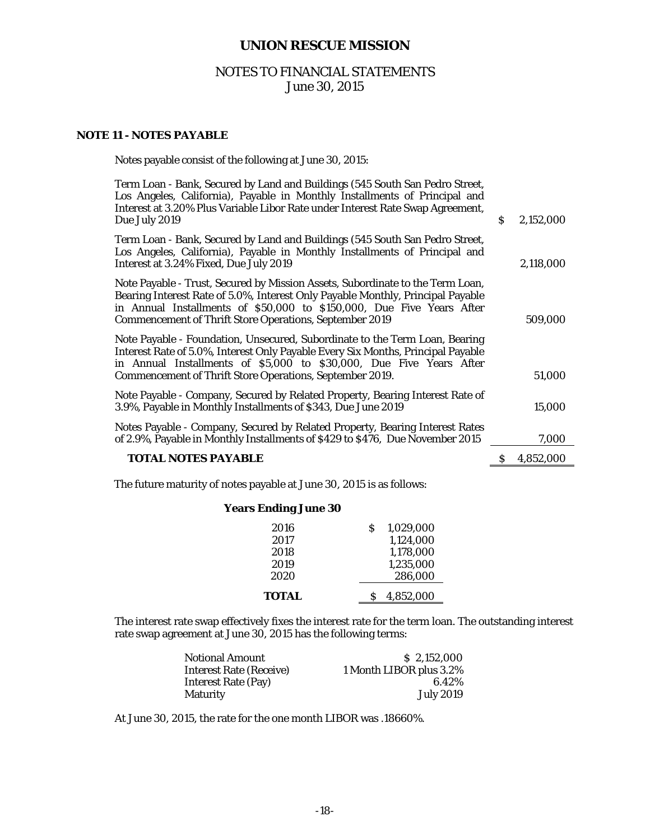## NOTES TO FINANCIAL STATEMENTS June 30, 2015

### **NOTE 11 - NOTES PAYABLE**

Notes payable consist of the following at June 30, 2015:

| Term Loan - Bank, Secured by Land and Buildings (545 South San Pedro Street,<br>Los Angeles, California), Payable in Monthly Installments of Principal and<br>Interest at 3.20% Plus Variable Libor Rate under Interest Rate Swap Agreement,<br>Due July 2019                                                | S | 2,152,000 |
|--------------------------------------------------------------------------------------------------------------------------------------------------------------------------------------------------------------------------------------------------------------------------------------------------------------|---|-----------|
| Term Loan - Bank, Secured by Land and Buildings (545 South San Pedro Street,<br>Los Angeles, California), Payable in Monthly Installments of Principal and<br>Interest at 3.24% Fixed, Due July 2019                                                                                                         |   | 2,118,000 |
| Note Payable - Trust, Secured by Mission Assets, Subordinate to the Term Loan,<br>Bearing Interest Rate of 5.0%, Interest Only Payable Monthly, Principal Payable<br>in Annual Installments of \$50,000 to \$150,000, Due Five Years After<br><b>Commencement of Thrift Store Operations, September 2019</b> |   | 509,000   |
| Note Payable - Foundation, Unsecured, Subordinate to the Term Loan, Bearing<br>Interest Rate of 5.0%, Interest Only Payable Every Six Months, Principal Payable<br>in Annual Installments of \$5,000 to \$30,000, Due Five Years After<br>Commencement of Thrift Store Operations, September 2019.           |   | 51,000    |
| Note Payable - Company, Secured by Related Property, Bearing Interest Rate of<br>3.9%, Payable in Monthly Installments of \$343, Due June 2019                                                                                                                                                               |   | 15,000    |
| Notes Payable - Company, Secured by Related Property, Bearing Interest Rates<br>of 2.9%, Payable in Monthly Installments of \$429 to \$476, Due November 2015                                                                                                                                                |   | 7,000     |
| <b>TOTAL NOTES PAYABLE</b>                                                                                                                                                                                                                                                                                   |   | 4,852,000 |

The future maturity of notes payable at June 30, 2015 is as follows:

## **Years Ending June 30**

| 2016         | 1.029.000<br>S |
|--------------|----------------|
| 2017         | 1,124,000      |
| 2018         | 1,178,000      |
| 2019         | 1,235,000      |
| 2020         | 286,000        |
| <b>TOTAL</b> | 4,852,000      |

The interest rate swap effectively fixes the interest rate for the term loan. The outstanding interest rate swap agreement at June 30, 2015 has the following terms:

| <b>Notional Amount</b>         | \$ 2,152,000            |
|--------------------------------|-------------------------|
| <b>Interest Rate (Receive)</b> | 1 Month LIBOR plus 3.2% |
| <b>Interest Rate (Pay)</b>     | 6.42%                   |
| <b>Maturity</b>                | <b>July 2019</b>        |

At June 30, 2015, the rate for the one month LIBOR was .18660%.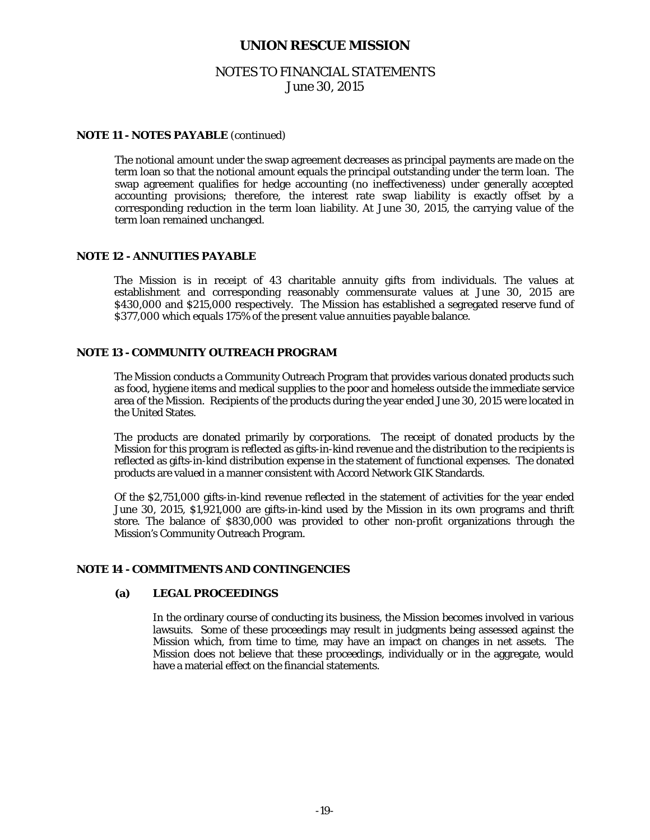## NOTES TO FINANCIAL STATEMENTS June 30, 2015

#### **NOTE 11 - NOTES PAYABLE** (continued)

The notional amount under the swap agreement decreases as principal payments are made on the term loan so that the notional amount equals the principal outstanding under the term loan. The swap agreement qualifies for hedge accounting (no ineffectiveness) under generally accepted accounting provisions; therefore, the interest rate swap liability is exactly offset by a corresponding reduction in the term loan liability. At June 30, 2015, the carrying value of the term loan remained unchanged.

#### **NOTE 12 - ANNUITIES PAYABLE**

 The Mission is in receipt of 43 charitable annuity gifts from individuals. The values at establishment and corresponding reasonably commensurate values at June 30, 2015 are \$430,000 and \$215,000 respectively. The Mission has established a segregated reserve fund of \$377,000 which equals 175% of the present value annuities payable balance.

#### **NOTE 13 - COMMUNITY OUTREACH PROGRAM**

The Mission conducts a Community Outreach Program that provides various donated products such as food, hygiene items and medical supplies to the poor and homeless outside the immediate service area of the Mission. Recipients of the products during the year ended June 30, 2015 were located in the United States.

 The products are donated primarily by corporations. The receipt of donated products by the Mission for this program is reflected as gifts-in-kind revenue and the distribution to the recipients is reflected as gifts-in-kind distribution expense in the statement of functional expenses. The donated products are valued in a manner consistent with Accord Network GIK Standards.

 Of the \$2,751,000 gifts-in-kind revenue reflected in the statement of activities for the year ended June 30, 2015, \$1,921,000 are gifts-in-kind used by the Mission in its own programs and thrift store. The balance of \$830,000 was provided to other non-profit organizations through the Mission's Community Outreach Program.

#### **NOTE 14 - COMMITMENTS AND CONTINGENCIES**

#### **(a) LEGAL PROCEEDINGS**

In the ordinary course of conducting its business, the Mission becomes involved in various lawsuits. Some of these proceedings may result in judgments being assessed against the Mission which, from time to time, may have an impact on changes in net assets. The Mission does not believe that these proceedings, individually or in the aggregate, would have a material effect on the financial statements.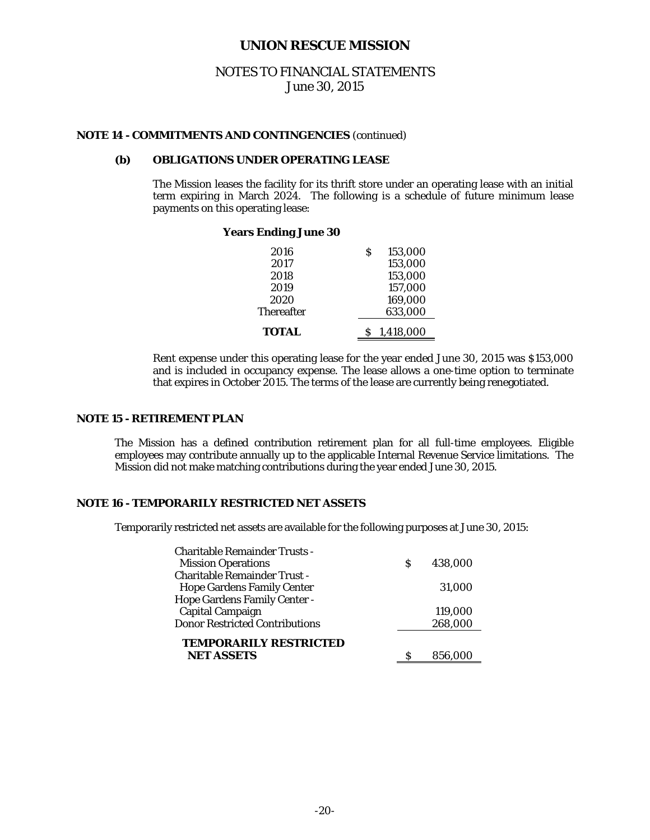## NOTES TO FINANCIAL STATEMENTS June 30, 2015

#### **NOTE 14 - COMMITMENTS AND CONTINGENCIES** (continued)

#### **(b) OBLIGATIONS UNDER OPERATING LEASE**

The Mission leases the facility for its thrift store under an operating lease with an initial term expiring in March 2024. The following is a schedule of future minimum lease payments on this operating lease:

#### **Years Ending June 30**

| 2016              | 153.000<br>S |
|-------------------|--------------|
| 2017              | 153,000      |
| 2018              | 153,000      |
| 2019              | 157,000      |
| 2020              | 169,000      |
| <b>Thereafter</b> | 633,000      |
| <b>TOTAL</b>      | 1,418,000    |

Rent expense under this operating lease for the year ended June 30, 2015 was \$153,000 and is included in occupancy expense. The lease allows a one-time option to terminate that expires in October 2015. The terms of the lease are currently being renegotiated.

#### **NOTE 15 - RETIREMENT PLAN**

 The Mission has a defined contribution retirement plan for all full-time employees. Eligible employees may contribute annually up to the applicable Internal Revenue Service limitations. The Mission did not make matching contributions during the year ended June 30, 2015.

#### **NOTE 16 - TEMPORARILY RESTRICTED NET ASSETS**

Temporarily restricted net assets are available for the following purposes at June 30, 2015:

| <b>Charitable Remainder Trusts -</b>  |   |         |
|---------------------------------------|---|---------|
| <b>Mission Operations</b>             | S | 438,000 |
| <b>Charitable Remainder Trust -</b>   |   |         |
| <b>Hope Gardens Family Center</b>     |   | 31,000  |
| <b>Hope Gardens Family Center -</b>   |   |         |
| <b>Capital Campaign</b>               |   | 119,000 |
| <b>Donor Restricted Contributions</b> |   | 268,000 |
| <b>TEMPORARILY RESTRICTED</b>         |   |         |
| <b>NET ASSETS</b>                     | S | 856.000 |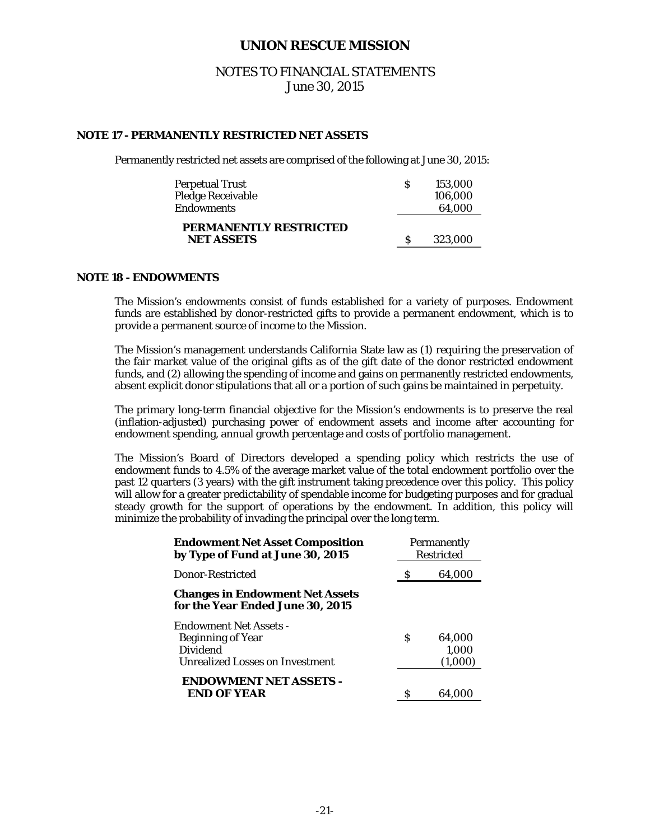## NOTES TO FINANCIAL STATEMENTS June 30, 2015

#### **NOTE 17 - PERMANENTLY RESTRICTED NET ASSETS**

Permanently restricted net assets are comprised of the following at June 30, 2015:

| <b>Perpetual Trust</b>                             | S | 153,000 |
|----------------------------------------------------|---|---------|
| <b>Pledge Receivable</b>                           |   | 106.000 |
| <b>Endowments</b>                                  |   | 64.000  |
| <b>PERMANENTLY RESTRICTED</b><br><b>NET ASSETS</b> |   | 323,000 |
|                                                    |   |         |

#### **NOTE 18 - ENDOWMENTS**

The Mission's endowments consist of funds established for a variety of purposes. Endowment funds are established by donor-restricted gifts to provide a permanent endowment, which is to provide a permanent source of income to the Mission.

The Mission's management understands California State law as (1) requiring the preservation of the fair market value of the original gifts as of the gift date of the donor restricted endowment funds, and (2) allowing the spending of income and gains on permanently restricted endowments, absent explicit donor stipulations that all or a portion of such gains be maintained in perpetuity.

The primary long-term financial objective for the Mission's endowments is to preserve the real (inflation-adjusted) purchasing power of endowment assets and income after accounting for endowment spending, annual growth percentage and costs of portfolio management.

The Mission's Board of Directors developed a spending policy which restricts the use of endowment funds to 4.5% of the average market value of the total endowment portfolio over the past 12 quarters (3 years) with the gift instrument taking precedence over this policy. This policy will allow for a greater predictability of spendable income for budgeting purposes and for gradual steady growth for the support of operations by the endowment. In addition, this policy will minimize the probability of invading the principal over the long term.

| <b>Endowment Net Asset Composition</b><br>by Type of Fund at June 30, 2015                                             |   | <b>Permanently</b><br><b>Restricted</b> |  |
|------------------------------------------------------------------------------------------------------------------------|---|-----------------------------------------|--|
| Donor-Restricted                                                                                                       |   | 64,000                                  |  |
| <b>Changes in Endowment Net Assets</b><br>for the Year Ended June 30, 2015                                             |   |                                         |  |
| <b>Endowment Net Assets -</b><br><b>Beginning of Year</b><br><b>Dividend</b><br><b>Unrealized Losses on Investment</b> | S | 64,000<br>1,000<br>(1,000)              |  |
| ENDOWMENT NET ASSETS -<br><b>END OF YEAR</b>                                                                           |   | 64.000                                  |  |